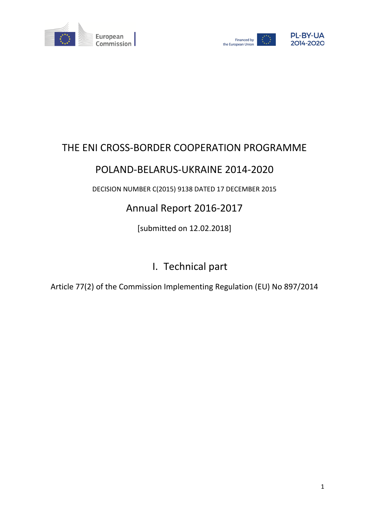



# THE ENI CROSS-BORDER COOPERATION PROGRAMME

# POLAND-BELARUS-UKRAINE 2014-2020

DECISION NUMBER C(2015) 9138 DATED 17 DECEMBER 2015

# Annual Report 2016-2017

[submitted on 12.02.2018]

# I. Technical part

Article 77(2) of the Commission Implementing Regulation (EU) No 897/2014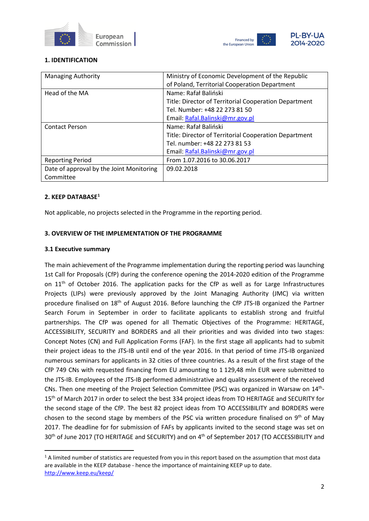



## **1. IDENTIFICATION**

| <b>Managing Authority</b>                | Ministry of Economic Development of the Republic      |
|------------------------------------------|-------------------------------------------------------|
|                                          | of Poland, Territorial Cooperation Department         |
| Head of the MA                           | Name: Rafał Baliński                                  |
|                                          | Title: Director of Territorial Cooperation Department |
|                                          | Tel. Number: +48 22 273 81 50                         |
|                                          | Email: Rafal.Balinski@mr.gov.pl                       |
| <b>Contact Person</b>                    | Name: Rafał Baliński                                  |
|                                          | Title: Director of Territorial Cooperation Department |
|                                          | Tel. number: +48 22 273 81 53                         |
|                                          | Email: Rafal.Balinski@mr.gov.pl                       |
| <b>Reporting Period</b>                  | From 1.07.2016 to 30.06.2017                          |
| Date of approval by the Joint Monitoring | 09.02.2018                                            |
| Committee                                |                                                       |

#### **2. KEEP DATABASE[1](#page-1-0)**

Not applicable, no projects selected in the Programme in the reporting period.

#### **3. OVERVIEW OF THE IMPLEMENTATION OF THE PROGRAMME**

#### **3.1 Executive summary**

The main achievement of the Programme implementation during the reporting period was launching 1st Call for Proposals (CfP) during the conference opening the 2014-2020 edition of the Programme on  $11<sup>th</sup>$  of October 2016. The application packs for the CfP as well as for Large Infrastructures Projects (LIPs) were previously approved by the Joint Managing Authority (JMC) via written procedure finalised on 18th of August 2016. Before launching the CfP JTS-IB organized the Partner Search Forum in September in order to facilitate applicants to establish strong and fruitful partnerships. The CfP was opened for all Thematic Objectives of the Programme: HERITAGE, ACCESSIBILITY, SECURITY and BORDERS and all their priorities and was divided into two stages: Concept Notes (CN) and Full Application Forms (FAF). In the first stage all applicants had to submit their project ideas to the JTS-IB until end of the year 2016. In that period of time JTS-IB organized numerous seminars for applicants in 32 cities of three countries. As a result of the first stage of the CfP 749 CNs with requested financing from EU amounting to 1 129,48 mln EUR were submitted to the JTS-IB. Employees of the JTS-IB performed administrative and quality assessment of the received CNs. Then one meeting of the Project Selection Committee (PSC) was organized in Warsaw on 14th-15<sup>th</sup> of March 2017 in order to select the best 334 project ideas from TO HERITAGE and SECURITY for the second stage of the CfP. The best 82 project ideas from TO ACCESSIBILITY and BORDERS were chosen to the second stage by members of the PSC via written procedure finalised on 9<sup>th</sup> of May 2017. The deadline for for submission of FAFs by applicants invited to the second stage was set on 30<sup>th</sup> of June 2017 (TO HERITAGE and SECURITY) and on 4<sup>th</sup> of September 2017 (TO ACCESSIBILITY and

<span id="page-1-0"></span><sup>&</sup>lt;sup>1</sup> A limited number of statistics are requested from you in this report based on the assumption that most data are available in the KEEP database - hence the importance of maintaining KEEP up to date. <http://www.keep.eu/keep/>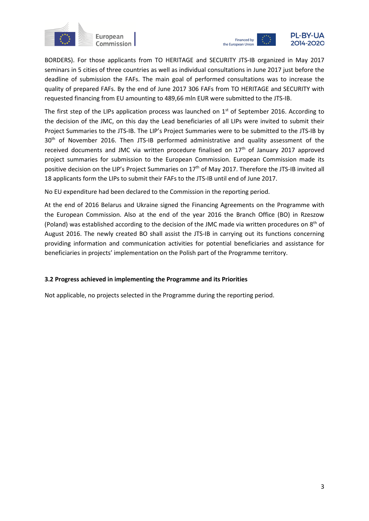



BORDERS). For those applicants from TO HERITAGE and SECURITY JTS-IB organized in May 2017 seminars in 5 cities of three countries as well as individual consultations in June 2017 just before the deadline of submission the FAFs. The main goal of performed consultations was to increase the quality of prepared FAFs. By the end of June 2017 306 FAFs from TO HERITAGE and SECURITY with requested financing from EU amounting to 489,66 mln EUR were submitted to the JTS-IB.

The first step of the LIPs application process was launched on  $1<sup>st</sup>$  of September 2016. According to the decision of the JMC, on this day the Lead beneficiaries of all LIPs were invited to submit their Project Summaries to the JTS-IB. The LIP's Project Summaries were to be submitted to the JTS-IB by 30<sup>th</sup> of November 2016. Then JTS-IB performed administrative and quality assessment of the received documents and JMC via written procedure finalised on  $17<sup>th</sup>$  of January 2017 approved project summaries for submission to the European Commission. European Commission made its positive decision on the LIP's Project Summaries on 17<sup>th</sup> of May 2017. Therefore the JTS-IB invited all 18 applicants form the LIPs to submit their FAFs to the JTS-IB until end of June 2017.

No EU expenditure had been declared to the Commission in the reporting period.

At the end of 2016 Belarus and Ukraine signed the Financing Agreements on the Programme with the European Commission. Also at the end of the year 2016 the Branch Office (BO) in Rzeszow (Poland) was established according to the decision of the JMC made via written procedures on  $8<sup>th</sup>$  of August 2016. The newly created BO shall assist the JTS-IB in carrying out its functions concerning providing information and communication activities for potential beneficiaries and assistance for beneficiaries in projects' implementation on the Polish part of the Programme territory.

#### **3.2 Progress achieved in implementing the Programme and its Priorities**

Not applicable, no projects selected in the Programme during the reporting period.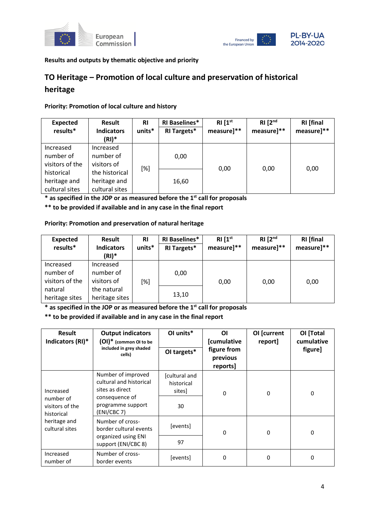



## **Results and outputs by thematic objective and priority**

# **TO Heritage – Promotion of local culture and preservation of historical heritage**

#### **Priority: Promotion of local culture and history**

| <b>Expected</b><br>results*                  | Result<br><b>Indicators</b><br>$(RI)^*$          | <b>RI</b><br>units* | <b>RI Baselines*</b><br><b>RI Targets*</b> | RI[1 <sup>st</sup> ]<br>measure]** | RI [2 <sup>nd</sup> ]<br>measure]** | <b>RI</b> [final<br>measure]** |
|----------------------------------------------|--------------------------------------------------|---------------------|--------------------------------------------|------------------------------------|-------------------------------------|--------------------------------|
| Increased<br>number of<br>visitors of the    | Increased<br>number of<br>visitors of            |                     | 0,00                                       | 0,00                               | 0,00                                | 0,00                           |
| historical<br>heritage and<br>cultural sites | the historical<br>heritage and<br>cultural sites | [%]                 | 16,60                                      |                                    |                                     |                                |

**\* as specified in the JOP or as measured before the 1st call for proposals**

**\*\* to be provided if available and in any case in the final report**

#### **Priority: Promotion and preservation of natural heritage**

| <b>Expected</b> | Result            | <b>RI</b> | <b>RI Baselines*</b> | RI[1 <sup>st</sup> ] | RI [2 <sup>nd</sup> ] | <b>RI</b> [final |
|-----------------|-------------------|-----------|----------------------|----------------------|-----------------------|------------------|
| results*        | <b>Indicators</b> | units*    | <b>RI Targets*</b>   | measure]**           | measure]**            | measure]**       |
|                 | (RI)*             |           |                      |                      |                       |                  |
| Increased       | Increased         |           |                      |                      |                       |                  |
| number of       | number of         |           | 0,00                 |                      |                       |                  |
| visitors of the | visitors of       | [%]       |                      | 0,00                 | 0,00                  | 0,00             |
| natural         | the natural       |           |                      |                      |                       |                  |
| heritage sites  | heritage sites    |           | 13,10                |                      |                       |                  |

**\* as specified in the JOP or as measured before the 1st call for proposals**

**\*\* to be provided if available and in any case in the final report**

| <b>Result</b><br>Indicators (RI)*                       | <b>Output indicators</b><br>$(OI)^*$ (common OI to be<br>included in grey shaded<br>cells)                             | OI units*<br>OI targets*                    | ΟI<br>[cumulative<br>figure from<br>previous<br>reports] | OI [current<br>report] | OI [Total<br>cumulative<br>figure] |
|---------------------------------------------------------|------------------------------------------------------------------------------------------------------------------------|---------------------------------------------|----------------------------------------------------------|------------------------|------------------------------------|
| Increased<br>number of<br>visitors of the<br>historical | Number of improved<br>cultural and historical<br>sites as direct<br>consequence of<br>programme support<br>(ENI/CBC 7) | [cultural and<br>historical<br>sites]<br>30 | $\mathbf 0$                                              | 0                      | 0                                  |
| heritage and<br>cultural sites                          | Number of cross-<br>border cultural events<br>organized using ENI<br>support (ENI/CBC 8)                               | [events]<br>97                              | 0                                                        | 0                      | $\Omega$                           |
| Increased<br>number of                                  | Number of cross-<br>border events                                                                                      | [events]                                    | 0                                                        | 0                      | $\Omega$                           |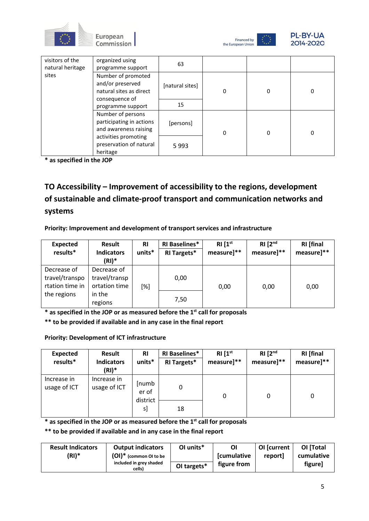







| visitors of the<br>natural heritage | organized using<br>programme support                                                | 63              |   |   |          |
|-------------------------------------|-------------------------------------------------------------------------------------|-----------------|---|---|----------|
| sites                               | Number of promoted<br>and/or preserved<br>natural sites as direct<br>consequence of | [natural sites] | 0 | 0 | $\Omega$ |
|                                     | programme support                                                                   | 15              |   |   |          |
|                                     | Number of persons<br>participating in actions<br>and awareness raising              | [persons]       | 0 | 0 | 0        |
|                                     | activities promoting<br>preservation of natural<br>heritage                         | 5993            |   |   |          |

**\* as specified in the JOP**

**TO Accessibility – Improvement of accessibility to the regions, development of sustainable and climate-proof transport and communication networks and systems**

## **Priority: Improvement and development of transport services and infrastructure**

| <b>Expected</b><br>results*                      | Result<br><b>Indicators</b><br>$(RI)^*$       | <b>RI</b><br>units* | <b>RI Baselines*</b><br><b>RI Targets*</b> | RI [1 <sup>st</sup> ]<br>measure]** | $RI$ $[2nd]$<br>measure]** | <b>RI</b> [final<br>measure]** |
|--------------------------------------------------|-----------------------------------------------|---------------------|--------------------------------------------|-------------------------------------|----------------------------|--------------------------------|
| Decrease of<br>travel/transpo<br>rtation time in | Decrease of<br>travel/transp<br>ortation time | [%]                 | 0,00                                       | 0,00                                | 0,00                       | 0,00                           |
| the regions                                      | in the<br>regions                             |                     | 7,50                                       |                                     |                            |                                |

**\* as specified in the JOP or as measured before the 1st call for proposals**

**\*\* to be provided if available and in any case in the final report**

#### **Priority: Development of ICT infrastructure**

| <b>Expected</b><br>results* | Result<br><b>Indicators</b><br>$(RI)^*$ | <b>RI</b><br>units*        | <b>RI Baselines*</b><br><b>RI Targets*</b> | RI[1 <sup>st</sup> ]<br>measure]** | RI [2 <sup>nd</sup> ]<br>measure]** | <b>RI</b> [final<br>measure]** |
|-----------------------------|-----------------------------------------|----------------------------|--------------------------------------------|------------------------------------|-------------------------------------|--------------------------------|
| Increase in<br>usage of ICT | Increase in<br>usage of ICT             | [numb<br>er of<br>district | 0                                          | 0                                  | 0                                   | 0                              |
|                             |                                         | s]                         | 18                                         |                                    |                                     |                                |

**\* as specified in the JOP or as measured before the 1st call for proposals**

**\*\* to be provided if available and in any case in the final report**

| <b>Result Indicators</b> | <b>Output indicators</b>          | OI units*   | Οl                 | OI [current | OI [Total  |
|--------------------------|-----------------------------------|-------------|--------------------|-------------|------------|
| (RI)*                    | $(OI)^*$ (common OI to be         |             | <b>[cumulative</b> | report      | cumulative |
|                          | included in grey shaded<br>cells) | OI targets* | figure from        |             | figure]    |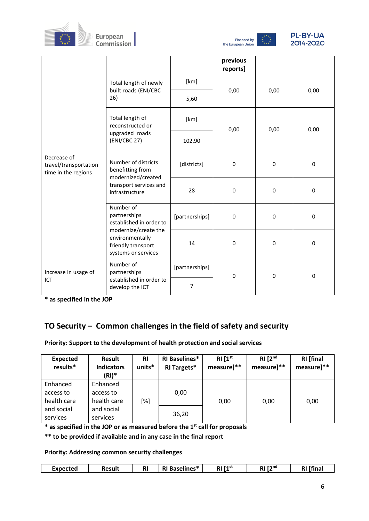





|                                                             |                                                                                                                                                                   |                | previous<br>reports] |             |           |  |
|-------------------------------------------------------------|-------------------------------------------------------------------------------------------------------------------------------------------------------------------|----------------|----------------------|-------------|-----------|--|
|                                                             | Total length of newly                                                                                                                                             | [km]           |                      |             |           |  |
|                                                             | built roads (ENI/CBC<br>26)                                                                                                                                       | 5,60           | 0,00                 | 0,00        | 0,00      |  |
|                                                             | Total length of<br>reconstructed or                                                                                                                               | [km]           | 0,00                 | 0,00        | 0,00      |  |
|                                                             | upgraded roads<br>(ENI/CBC 27)                                                                                                                                    | 102,90         |                      |             |           |  |
| Decrease of<br>travel/transportation<br>time in the regions | Number of districts<br>benefitting from<br>modernized/created<br>transport services and<br>infrastructure<br>Number of<br>partnerships<br>established in order to | [districts]    | 0                    | $\mathbf 0$ | 0         |  |
|                                                             |                                                                                                                                                                   | 28             | $\pmb{0}$            | $\pmb{0}$   | 0         |  |
|                                                             |                                                                                                                                                                   | [partnerships] | 0                    | 0           | 0         |  |
|                                                             | modernize/create the<br>environmentally<br>friendly transport<br>systems or services                                                                              | 14             | $\mathbf{0}$         | 0           | 0         |  |
| Increase in usage of                                        | Number of<br>partnerships                                                                                                                                         | [partnerships] | $\pmb{0}$            | 0           | $\pmb{0}$ |  |
| ICT                                                         | established in order to<br>develop the ICT                                                                                                                        | 7              |                      |             |           |  |

**\* as specified in the JOP** 

# **TO Security – Common challenges in the field of safety and security**

## **Priority: Support to the development of health protection and social services**

| <b>Expected</b><br>results*          | <b>Result</b><br><b>Indicators</b><br>$(RI)^*$ | <b>RI</b><br>units* | <b>RI Baselines*</b><br><b>RI Targets*</b> | RI [1 <sup>st</sup> ]<br>measure]** | RI [2 <sup>nd</sup> ]<br>measure]** | <b>RI</b> [final<br>measure]** |
|--------------------------------------|------------------------------------------------|---------------------|--------------------------------------------|-------------------------------------|-------------------------------------|--------------------------------|
| Enhanced<br>access to<br>health care | Enhanced<br>access to<br>health care           | [%]                 | 0,00                                       | 0,00                                | 0,00                                | 0,00                           |
| and social<br>services               | and social<br>services                         |                     | 36,20                                      |                                     |                                     |                                |

**\* as specified in the JOP or as measured before the 1st call for proposals**

**\*\* to be provided if available and in any case in the final report**

**Priority: Addressing common security challenges**

| Expected | Result | R <sub>l</sub> | DI.<br>Baselines*<br>N | RI [1 <sup>st</sup> ] | $[2^{nd}$<br>RI | ' [fina<br>RI |
|----------|--------|----------------|------------------------|-----------------------|-----------------|---------------|
|          |        |                |                        |                       |                 |               |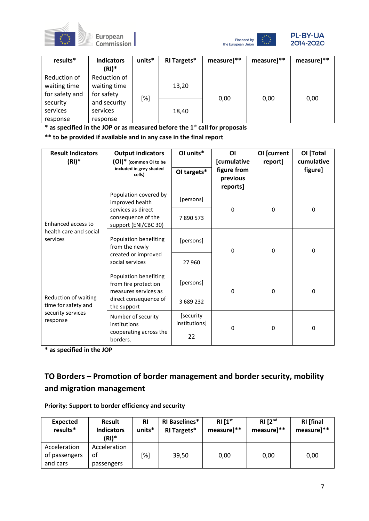





| results*       | <b>Indicators</b><br>$(RI)^*$ | units* | RI Targets* | measure]** | measure]** | measure]** |
|----------------|-------------------------------|--------|-------------|------------|------------|------------|
| Reduction of   | Reduction of                  |        |             |            |            |            |
| waiting time   | waiting time                  |        | 13,20       |            |            |            |
| for safety and | for safety                    |        |             |            |            |            |
| security       | and security                  | [%]    |             | 0,00       | 0,00       | 0,00       |
| services       | services                      |        | 18,40       |            |            |            |
| response       | response                      |        |             |            |            |            |

**\* as specified in the JOP or as measured before the 1st call for proposals**

**\*\* to be provided if available and in any case in the final report**

| <b>Result Indicators</b><br>$(RI)^*$                                         | <b>Output indicators</b><br>(OI)* (common OI to be                    | OI units*                  | <b>OI</b><br>[cumulative            | OI [current<br>report] | OI [Total<br>cumulative |  |
|------------------------------------------------------------------------------|-----------------------------------------------------------------------|----------------------------|-------------------------------------|------------------------|-------------------------|--|
|                                                                              | included in grey shaded<br>cells)                                     | OI targets*                | figure from<br>previous<br>reports] |                        | figure]                 |  |
|                                                                              | Population covered by<br>improved health                              | [persons]                  |                                     |                        |                         |  |
| Enhanced access to<br>health care and social<br>services                     | services as direct<br>consequence of the<br>support (ENI/CBC 30)      | 7890573                    | $\Omega$                            | $\Omega$               | 0                       |  |
|                                                                              | Population benefiting<br>from the newly                               | [persons]                  | $\Omega$                            | $\Omega$               | $\Omega$                |  |
|                                                                              | created or improved<br>social services                                | 27 960                     |                                     |                        |                         |  |
| Reduction of waiting<br>time for safety and<br>security services<br>response | Population benefiting<br>from fire protection<br>measures services as | [persons]                  | 0                                   | $\mathbf{0}$           | 0                       |  |
|                                                                              | direct consequence of<br>the support                                  | 3689232                    |                                     |                        |                         |  |
|                                                                              | Number of security<br>institutions                                    | [security<br>institutions] | $\Omega$                            | $\Omega$               | $\Omega$                |  |
|                                                                              | cooperating across the<br>borders.                                    | 22                         |                                     |                        |                         |  |

**\* as specified in the JOP** 

# **TO Borders – Promotion of border management and border security, mobility and migration management**

| Priority: Support to border efficiency and security |
|-----------------------------------------------------|
|-----------------------------------------------------|

| <b>Expected</b><br>results*               | <b>Result</b><br><b>Indicators</b><br>$(RI)^*$ | <b>RI</b><br>units* | <b>RI Baselines*</b><br><b>RI Targets*</b> | $RI \, I1^{st}$<br>measure]** | RI [2 <sup>nd</sup> ]<br>measure]** | <b>RI</b> [final<br>measure]** |
|-------------------------------------------|------------------------------------------------|---------------------|--------------------------------------------|-------------------------------|-------------------------------------|--------------------------------|
| Acceleration<br>of passengers<br>and cars | Acceleration<br>οf<br>passengers               | [%]                 | 39,50                                      | 0.00                          | 0,00                                | 0,00                           |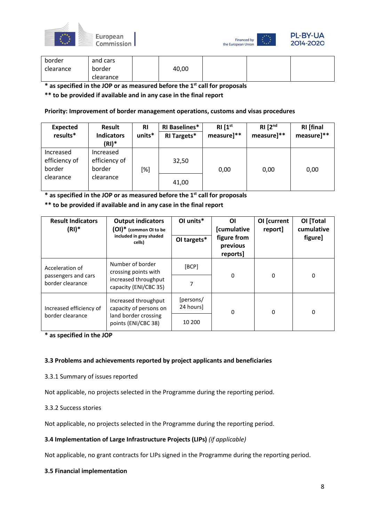





| border    | and cars  |       |  |  |
|-----------|-----------|-------|--|--|
| clearance | border    | 40,00 |  |  |
|           | clearance |       |  |  |

**\* as specified in the JOP or as measured before the 1st call for proposals**

**\*\* to be provided if available and in any case in the final report**

#### **Priority: Improvement of border management operations, customs and visas procedures**

| Expected<br>results*                 | <b>Result</b><br><b>Indicators</b><br>(RI)* | <b>RI</b><br>units* | <b>RI Baselines*</b><br><b>RI Targets*</b> | RI[1 <sup>st</sup> ]<br>measure]** | RI [2 <sup>nd</sup> ]<br>measure]** | <b>RI</b> [final<br>measure]** |
|--------------------------------------|---------------------------------------------|---------------------|--------------------------------------------|------------------------------------|-------------------------------------|--------------------------------|
| Increased<br>efficiency of<br>border | Increased<br>efficiency of<br>border        | [%]                 | 32,50                                      | 0,00                               | 0,00                                | 0,00                           |
| clearance                            | clearance                                   |                     | 41,00                                      |                                    |                                     |                                |

**\* as specified in the JOP or as measured before the 1st call for proposals**

**\*\* to be provided if available and in any case in the final report**

| <b>Result Indicators</b><br>$(RI)^*$    | <b>Output indicators</b><br>$(OI)^*$ (common OI to be<br>included in grey shaded<br>cells) | OI units*<br>OI targets* | ΟI<br><b>[cumulative</b><br>figure from<br>previous<br>reports] | OI [current<br>report] | OI [Total<br>cumulative<br>figure] |  |
|-----------------------------------------|--------------------------------------------------------------------------------------------|--------------------------|-----------------------------------------------------------------|------------------------|------------------------------------|--|
| Acceleration of                         | Number of border<br>crossing points with                                                   | [BCP]                    | $\Omega$                                                        | 0                      | 0                                  |  |
| passengers and cars<br>border clearance | increased throughput<br>capacity (ENI/CBC 35)                                              | 7                        |                                                                 |                        |                                    |  |
| Increased efficiency of                 | Increased throughput<br>capacity of persons on                                             | [persons/<br>24 hours]   | 0                                                               | 0                      | 0                                  |  |
| border clearance                        | land border crossing<br>points (ENI/CBC 38)                                                | 10 200                   |                                                                 |                        |                                    |  |

**\* as specified in the JOP** 

#### **3.3 Problems and achievements reported by project applicants and beneficiaries**

3.3.1 Summary of issues reported

Not applicable, no projects selected in the Programme during the reporting period.

## 3.3.2 Success stories

Not applicable, no projects selected in the Programme during the reporting period.

#### **3.4 Implementation of Large Infrastructure Projects (LIPs)** *(if applicable)*

Not applicable, no grant contracts for LIPs signed in the Programme during the reporting period.

#### **3.5 Financial implementation**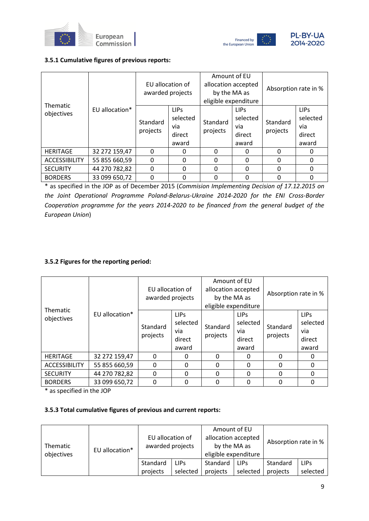



#### **3.5.1 Cumulative figures of previous reports:**

| Thematic             |                | EU allocation of<br>awarded projects                                      |          | Amount of EU<br>allocation accepted<br>by the MA as<br>eligible expenditure |                                                    | Absorption rate in % |                                                   |
|----------------------|----------------|---------------------------------------------------------------------------|----------|-----------------------------------------------------------------------------|----------------------------------------------------|----------------------|---------------------------------------------------|
| objectives           | EU allocation* | <b>LIPS</b><br>selected<br>Standard<br>via<br>projects<br>direct<br>award |          | Standard<br>projects                                                        | <b>LIPS</b><br>selected<br>via.<br>direct<br>award | Standard<br>projects | <b>LIPS</b><br>selected<br>via<br>direct<br>award |
| <b>HERITAGE</b>      | 32 272 159,47  | $\Omega$                                                                  | 0        | $\Omega$                                                                    | 0                                                  | $\Omega$             | $\Omega$                                          |
| <b>ACCESSIBILITY</b> | 55 855 660,59  | $\Omega$                                                                  | $\Omega$ | $\Omega$                                                                    | $\Omega$                                           | $\Omega$             | $\Omega$                                          |
| <b>SECURITY</b>      | 44 270 782,82  | $\Omega$                                                                  | 0        | 0                                                                           | 0                                                  | $\Omega$             | $\Omega$                                          |
| <b>BORDERS</b>       | 33 099 650,72  | 0                                                                         | ŋ        | 0                                                                           | 0                                                  | $\Omega$             | 0                                                 |

\* as specified in the JOP as of December 2015 (*Commision Implementing Decision of 17.12.2015 on the Joint Operational Programme Poland-Belarus-Ukraine 2014-2020 for the ENI Cross-Border Cooperation programme for the years 2014-2020 to be financed from the general budget of the European Union*)

## **3.5.2 Figures for the reporting period:**

| <b>Thematic</b>      |                | EU allocation of<br>awarded projects |                                                        | Amount of EU<br>allocation accepted<br>by the MA as<br>eligible expenditure |                                                   | Absorption rate in % |                                                   |
|----------------------|----------------|--------------------------------------|--------------------------------------------------------|-----------------------------------------------------------------------------|---------------------------------------------------|----------------------|---------------------------------------------------|
| objectives           | EU allocation* | Standard<br>projects                 | LIP <sub>S</sub><br>selected<br>via<br>direct<br>award | Standard<br>projects                                                        | <b>LIPS</b><br>selected<br>via<br>direct<br>award | Standard<br>projects | <b>LIPS</b><br>selected<br>via<br>direct<br>award |
| <b>HERITAGE</b>      | 32 272 159,47  | $\Omega$                             | 0                                                      | $\Omega$                                                                    | 0                                                 | $\Omega$             | 0                                                 |
| <b>ACCESSIBILITY</b> | 55 855 660,59  | 0                                    | $\Omega$                                               | $\Omega$                                                                    | $\Omega$                                          | $\Omega$             | 0                                                 |
| <b>SECURITY</b>      | 44 270 782,82  | $\Omega$                             | $\Omega$                                               | $\Omega$                                                                    | $\Omega$                                          | 0                    | $\Omega$                                          |
| <b>BORDERS</b>       | 33 099 650,72  | 0                                    | $\Omega$                                               | $\Omega$                                                                    | $\Omega$                                          | 0                    | 0                                                 |

\* as specified in the JOP

#### **3.5.3 Total cumulative figures of previous and current reports:**

| Thematic<br>objectives | EU allocation* | EU allocation of<br>awarded projects |             | Amount of EU<br>allocation accepted<br>by the MA as<br>eligible expenditure |             | Absorption rate in % |             |
|------------------------|----------------|--------------------------------------|-------------|-----------------------------------------------------------------------------|-------------|----------------------|-------------|
|                        |                | Standard                             | <b>LIPs</b> | Standard                                                                    | <b>LIPS</b> | Standard             | <b>LIPS</b> |
|                        |                | projects                             | selected    | projects                                                                    | selected    | projects             | selected    |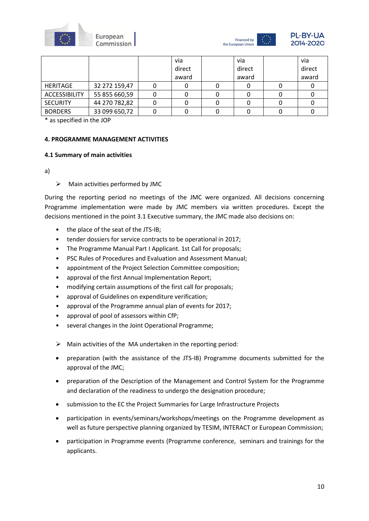



|                      |               | via    | via    | via    |
|----------------------|---------------|--------|--------|--------|
|                      |               | direct | direct | direct |
|                      |               | award  | award  | award  |
| <b>HERITAGE</b>      | 32 272 159,47 |        |        |        |
| <b>ACCESSIBILITY</b> | 55 855 660,59 |        |        |        |
| <b>SECURITY</b>      | 44 270 782,82 |        |        |        |
| <b>BORDERS</b>       | 33 099 650,72 |        |        |        |

\* as specified in the JOP

#### **4. PROGRAMME MANAGEMENT ACTIVITIES**

#### **4.1 Summary of main activities**

a)

#### $\triangleright$  Main activities performed by JMC

During the reporting period no meetings of the JMC were organized. All decisions concerning Programme implementation were made by JMC members via written procedures. Except the decisions mentioned in the point 3.1 Executive summary, the JMC made also decisions on:

- the place of the seat of the JTS-IB;
- tender dossiers for service contracts to be operational in 2017;
- The Programme Manual Part I Applicant. 1st Call for proposals;
- PSC Rules of Procedures and Evaluation and Assessment Manual;
- appointment of the Project Selection Committee composition:
- approval of the first Annual Implementation Report;
- modifying certain assumptions of the first call for proposals;
- approval of Guidelines on expenditure verification;
- approval of the Programme annual plan of events for 2017;
- approval of pool of assessors within CfP;
- several changes in the Joint Operational Programme;
- $\triangleright$  Main activities of the MA undertaken in the reporting period:
- preparation (with the assistance of the JTS-IB) Programme documents submitted for the approval of the JMC;
- preparation of the Description of the Management and Control System for the Programme and declaration of the readiness to undergo the designation procedure;
- submission to the EC the Project Summaries for Large Infrastructure Projects
- participation in events/seminars/workshops/meetings on the Programme development as well as future perspective planning organized by TESIM, INTERACT or European Commission;
- participation in Programme events (Programme conference, seminars and trainings for the applicants.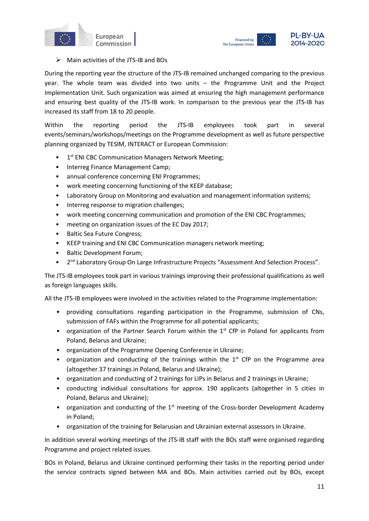



#### $\triangleright$  Main activities of the JTS-IB and BOs

During the reporting year the structure of the JTS-IB remained unchanged comparing to the previous year. The whole team was divided into two units – the Programme Unit and the Project Implementation Unit. Such organization was aimed at ensuring the high management performance and ensuring best quality of the JTS-IB work. In comparison to the previous year the JTS-IB has increased its staff from 18 to 20 people.

Within the reporting period the JTS-IB employees took part in several events/seminars/workshops/meetings on the Programme development as well as future perspective planning organized by TESIM, INTERACT or European Commission:

- 1<sup>st</sup> ENI CBC Communication Managers Network Meeting;
- Interreg Finance Management Camp;
- annual conference concerning ENI Programmes;
- work meeting concerning functioning of the KEEP database;
- Laboratory Group on Monitoring and evaluation and management information systems;
- Interreg response to migration challenges;
- work meeting concerning communication and promotion of the ENI CBC Programmes;
- meeting on organization issues of the EC Day 2017;
- Baltic Sea Future Congress;
- KEEP training and ENI CBC Communication managers network meeting;
- Baltic Development Forum;
- 2<sup>nd</sup> Laboratory Group On Large Infrastructure Projects "Assessment And Selection Process".

The JTS-IB employees took part in various trainings improving their professional qualifications as well as foreign languages skills.

All the JTS-IB employees were involved in the activities related to the Programme implementation:

- providing consultations regarding participation in the Programme, submission of CNs, submission of FAFs within the Programme for all potential applicants;
- organization of the Partner Search Forum within the  $1<sup>st</sup>$  CfP in Poland for applicants from Poland, Belarus and Ukraine;
- organization of the Programme Opening Conference in Ukraine;
- organization and conducting of the trainings within the  $1<sup>st</sup>$  CfP on the Programme area (altogether 37 trainings in Poland, Belarus and Ukraine);
- organization and conducting of 2 trainings for LIPs in Belarus and 2 trainings in Ukraine;
- conducting individual consultations for approx. 190 applicants (altogether in 5 cities in Poland, Belarus and Ukraine);
- organization and conducting of the  $1<sup>st</sup>$  meeting of the Cross-border Development Academy in Poland;
- organization of the training for Belarusian and Ukrainian external assessors in Ukraine.

In addition several working meetings of the JTS-IB staff with the BOs staff were organised regarding Programme and project related issues.

BOs in Poland, Belarus and Ukraine continued performing their tasks in the reporting period under the service contracts signed between MA and BOs. Main activities carried out by BOs, except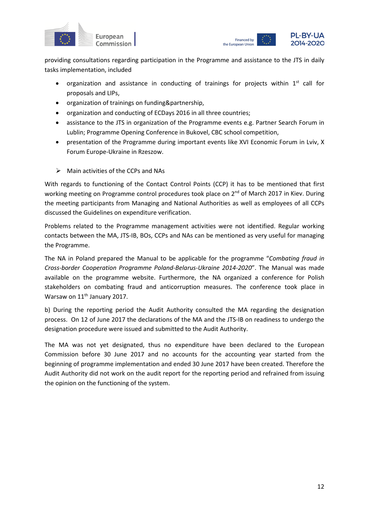



providing consultations regarding participation in the Programme and assistance to the JTS in daily tasks implementation, included

- organization and assistance in conducting of trainings for projects within  $1^{st}$  call for proposals and LIPs,
- organization of trainings on funding&partnership,
- organization and conducting of ECDays 2016 in all three countries;
- assistance to the JTS in organization of the Programme events e.g. Partner Search Forum in Lublin; Programme Opening Conference in Bukovel, CBC school competition,
- presentation of the Programme during important events like XVI Economic Forum in Lviv, X Forum Europe-Ukraine in Rzeszow.
- $\triangleright$  Main activities of the CCPs and NAs

With regards to functioning of the Contact Control Points (CCP) it has to be mentioned that first working meeting on Programme control procedures took place on 2<sup>nd</sup> of March 2017 in Kiev. During the meeting participants from Managing and National Authorities as well as employees of all CCPs discussed the Guidelines on expenditure verification.

Problems related to the Programme management activities were not identified. Regular working contacts between the MA, JTS-IB, BOs, CCPs and NAs can be mentioned as very useful for managing the Programme.

The NA in Poland prepared the Manual to be applicable for the programme "*Combating fraud in Cross-border Cooperation Programme Poland-Belarus-Ukraine 2014-2020*". The Manual was made available on the programme website. Furthermore, the NA organized a conference for Polish stakeholders on combating fraud and anticorruption measures. The conference took place in Warsaw on 11<sup>th</sup> January 2017.

b) During the reporting period the Audit Authority consulted the MA regarding the designation process. On 12 of June 2017 the declarations of the MA and the JTS-IB on readiness to undergo the designation procedure were issued and submitted to the Audit Authority.

The MA was not yet designated, thus no expenditure have been declared to the European Commission before 30 June 2017 and no accounts for the accounting year started from the beginning of programme implementation and ended 30 June 2017 have been created. Therefore the Audit Authority did not work on the audit report for the reporting period and refrained from issuing the opinion on the functioning of the system.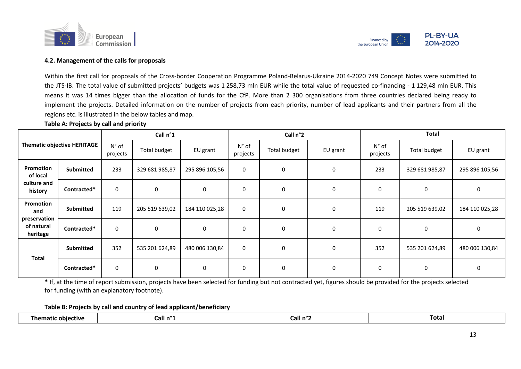



#### **4.2. Management of the calls for proposals**

Within the first call for proposals of the Cross-border Cooperation Programme Poland-Belarus-Ukraine 2014-2020 749 Concept Notes were submitted to the JTS-IB. The total value of submitted projects' budgets was 1 258,73 mln EUR while the total value of requested co-financing - 1 129,48 mln EUR. This means it was 14 times bigger than the allocation of funds for the CfP. More than 2 300 organisations from three countries declared being ready to implement the projects. Detailed information on the number of projects from each priority, number of lead applicants and their partners from all the regions etc. is illustrated in the below tables and map.

#### **Table A: Projects by call and priority**

| Call n°1                               |                             |                            | Call n°2            |                |                            | <b>Total</b> |             |                            |                |                |
|----------------------------------------|-----------------------------|----------------------------|---------------------|----------------|----------------------------|--------------|-------------|----------------------------|----------------|----------------|
|                                        | Thematic objective HERITAGE | $N^{\circ}$ of<br>projects | <b>Total budget</b> | EU grant       | $N^{\circ}$ of<br>projects | Total budget | EU grant    | $N^{\circ}$ of<br>projects | Total budget   | EU grant       |
| Promotion<br>of local                  | <b>Submitted</b>            | 233                        | 329 681 985,87      | 295 896 105,56 | $\mathbf 0$                | 0            | 0           | 233                        | 329 681 985,87 | 295 896 105,56 |
| culture and<br>history                 | Contracted*                 | 0                          | $\mathbf 0$         | 0              | $\mathbf 0$                | 0            | 0           | $\mathbf 0$                | 0              | 0              |
| Promotion<br>and                       | <b>Submitted</b>            | 119                        | 205 519 639,02      | 184 110 025,28 | $\mathbf 0$                | 0            | $\mathbf 0$ | 119                        | 205 519 639,02 | 184 110 025,28 |
| preservation<br>of natural<br>heritage | Contracted*                 | 0                          | $\mathbf 0$         | $\mathbf 0$    | $\mathbf 0$                | $\mathbf 0$  | $\mathbf 0$ | 0                          | 0              | $\mathbf 0$    |
|                                        | <b>Submitted</b>            | 352                        | 535 201 624,89      | 480 006 130,84 | $\mathbf 0$                | 0            | $\mathbf 0$ | 352                        | 535 201 624,89 | 480 006 130,84 |
| <b>Total</b>                           | Contracted*                 | $\mathbf 0$                | $\mathbf 0$         | 0              | 0                          | $\mathbf 0$  | 0           | 0                          | 0              | 0              |

**\*** If, at the time of report submission, projects have been selected for funding but not contracted yet, figures should be provided for the projects selected for funding (with an explanatory footnote).

**Table B: Projects by call and country of lead applicant/beneficiary**

| 'nen.<br>≏tive ∶<br>obiec | Lall n° | Call n' | Total |
|---------------------------|---------|---------|-------|
|                           |         |         |       |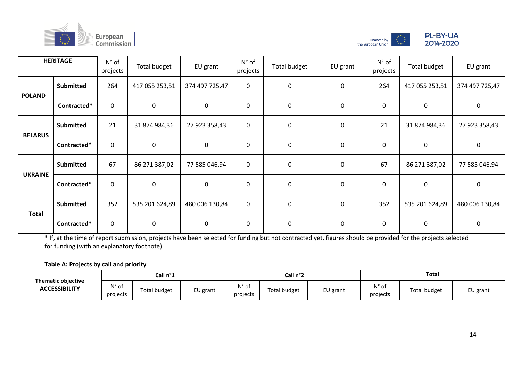





|                | <b>HERITAGE</b>  | $N^{\circ}$ of<br>projects | Total budget   | EU grant       | $N^{\circ}$ of<br>projects | Total budget | EU grant    | $N^{\circ}$ of<br>projects | Total budget   | EU grant       |
|----------------|------------------|----------------------------|----------------|----------------|----------------------------|--------------|-------------|----------------------------|----------------|----------------|
| <b>POLAND</b>  | <b>Submitted</b> | 264                        | 417 055 253,51 | 374 497 725,47 | 0                          | 0            | 0           | 264                        | 417 055 253,51 | 374 497 725,47 |
|                | Contracted*      | $\pmb{0}$                  | $\mathbf 0$    | $\mathbf 0$    | 0                          | $\pmb{0}$    | $\mathbf 0$ | $\mathbf 0$                | 0              | $\mathbf 0$    |
| <b>BELARUS</b> | <b>Submitted</b> | 21                         | 31 874 984,36  | 27 923 358,43  | $\mathbf 0$                | $\mathbf 0$  | 0           | 21                         | 31 874 984,36  | 27 923 358,43  |
|                | Contracted*      | $\boldsymbol{0}$           | $\mathbf 0$    | $\mathbf 0$    | 0                          | $\mathbf 0$  | $\mathbf 0$ | $\pmb{0}$                  | $\pmb{0}$      | $\mathbf 0$    |
| <b>UKRAINE</b> | <b>Submitted</b> | 67                         | 86 271 387,02  | 77 585 046,94  | $\mathbf 0$                | $\mathbf 0$  | $\mathbf 0$ | 67                         | 86 271 387,02  | 77 585 046,94  |
|                | Contracted*      | $\pmb{0}$                  | $\mathbf 0$    | $\mathbf 0$    | 0                          | $\mathbf 0$  | $\mathbf 0$ | $\mathbf 0$                | $\pmb{0}$      | $\mathbf 0$    |
|                | <b>Submitted</b> | 352                        | 535 201 624,89 | 480 006 130,84 | $\mathbf 0$                | $\pmb{0}$    | 0           | 352                        | 535 201 624,89 | 480 006 130,84 |
| <b>Total</b>   | Contracted*      | $\boldsymbol{0}$           | $\mathbf 0$    | 0              | 0                          | $\mathbf 0$  | $\mathbf 0$ | $\pmb{0}$                  | $\pmb{0}$      | $\mathbf 0$    |

\* If, at the time of report submission, projects have been selected for funding but not contracted yet, figures should be provided for the projects selected for funding (with an explanatory footnote).

#### **Table A: Projects by call and priority**

|                                                   |                            | Call n°1     |          | Call n°2                   |              |          | Total                                  |                     |          |
|---------------------------------------------------|----------------------------|--------------|----------|----------------------------|--------------|----------|----------------------------------------|---------------------|----------|
| <b>Thematic objective</b><br><b>ACCESSIBILITY</b> | $N^{\circ}$ of<br>projects | Total budget | EU grant | $N^{\circ}$ of<br>projects | Total budget | EU grant | $\lambda$ <sup>1°</sup> of<br>projects | <b>Total budget</b> | EU grant |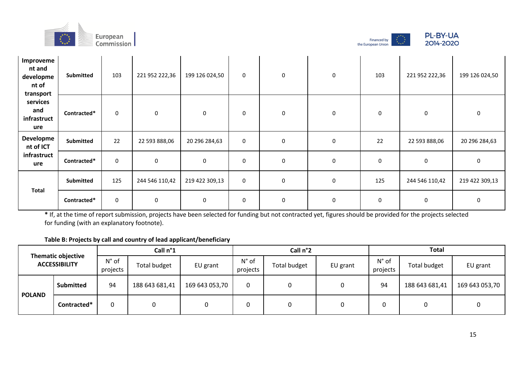





| Improveme<br>nt and<br>developme<br>nt of<br>transport | Submitted   | 103 | 221 952 222,36 | 199 126 024,50 | $\mathbf 0$ | 0         | 0 | 103       | 221 952 222,36 | 199 126 024,50 |
|--------------------------------------------------------|-------------|-----|----------------|----------------|-------------|-----------|---|-----------|----------------|----------------|
| services<br>and<br>infrastruct<br>ure                  | Contracted* | 0   | 0              | 0              | $\mathbf 0$ | 0         | 0 | 0         | 0              | 0              |
| Developme<br>nt of ICT                                 | Submitted   | 22  | 22 593 888,06  | 20 296 284,63  | $\mathbf 0$ | $\pmb{0}$ | 0 | 22        | 22 593 888,06  | 20 296 284,63  |
| infrastruct<br>ure                                     | Contracted* | 0   | 0              | $\pmb{0}$      | $\mathbf 0$ | $\pmb{0}$ | 0 | 0         | 0              | 0              |
| <b>Total</b>                                           | Submitted   | 125 | 244 546 110,42 | 219 422 309,13 | $\mathbf 0$ | 0         | 0 | 125       | 244 546 110,42 | 219 422 309,13 |
|                                                        | Contracted* | 0   | 0              | 0              | $\mathbf 0$ | $\pmb{0}$ | 0 | $\pmb{0}$ | $\pmb{0}$      | 0              |

# **Table B: Projects by call and country of lead applicant/beneficiary**

|               | <b>Thematic objective</b> |                            | Call n°1            |                | Call n°2                   |              |          | <b>Total</b>               |                |                |
|---------------|---------------------------|----------------------------|---------------------|----------------|----------------------------|--------------|----------|----------------------------|----------------|----------------|
|               | <b>ACCESSIBILITY</b>      | $N^{\circ}$ of<br>projects | <b>Total budget</b> | EU grant       | $N^{\circ}$ of<br>projects | Total budget | EU grant | $N^{\circ}$ of<br>projects | Total budget   | EU grant       |
| <b>POLAND</b> | <b>Submitted</b>          | 94                         | 188 643 681,41      | 169 643 053,70 | $\Omega$                   | 0            |          | 94                         | 188 643 681,41 | 169 643 053,70 |
|               | Contracted*               | 0                          |                     |                |                            | 0            |          | 0                          |                |                |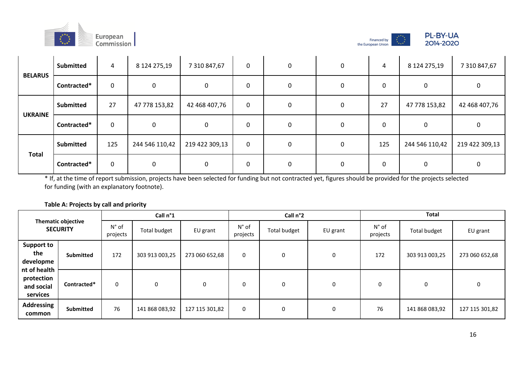





| <b>BELARUS</b> | <b>Submitted</b> | 4         | 8 124 275,19   | 7 310 847,67   | $\mathbf 0$  | 0 | $\Omega$ | 4   | 8 124 275,19   | 7 310 847,67   |
|----------------|------------------|-----------|----------------|----------------|--------------|---|----------|-----|----------------|----------------|
|                | Contracted*      | $\pmb{0}$ | 0              | 0              | $\mathbf{0}$ | 0 | 0        | 0   | 0              | 0              |
|                | <b>Submitted</b> | 27        | 47 778 153,82  | 42 468 407,76  | $\mathbf 0$  | 0 | 0        | 27  | 47 778 153,82  | 42 468 407,76  |
| <b>UKRAINE</b> | Contracted*      | 0         | 0              | 0              | 0            | 0 |          | 0   | 0              | 0              |
|                | <b>Submitted</b> | 125       | 244 546 110,42 | 219 422 309,13 | 0            | 0 | 0        | 125 | 244 546 110,42 | 219 422 309,13 |
| <b>Total</b>   | Contracted*      | $\pmb{0}$ | 0              | 0              | $\mathbf{0}$ | 0 | $\Omega$ | 0   | 0              | 0              |

#### **Table A: Projects by call and priority**

|                                                      |                                              | Call n°1                   |                |                |                            | Call n°2            |          | <b>Total</b>               |                |                |
|------------------------------------------------------|----------------------------------------------|----------------------------|----------------|----------------|----------------------------|---------------------|----------|----------------------------|----------------|----------------|
|                                                      | <b>Thematic objective</b><br><b>SECURITY</b> | $N^{\circ}$ of<br>projects | Total budget   | EU grant       | $N^{\circ}$ of<br>projects | <b>Total budget</b> | EU grant | $N^{\circ}$ of<br>projects | Total budget   | EU grant       |
| <b>Support to</b><br>the<br>developme                | <b>Submitted</b>                             | 172                        | 303 913 003,25 | 273 060 652,68 | 0                          | 0                   | 0        | 172                        | 303 913 003,25 | 273 060 652,68 |
| nt of health<br>protection<br>and social<br>services | Contracted*                                  | 0                          | 0              | 0              | 0                          | 0                   | 0        | 0                          | 0              | 0              |
| <b>Addressing</b><br>common                          | <b>Submitted</b>                             | 76                         | 141 868 083,92 | 127 115 301,82 | 0                          | 0                   | 0        | 76                         | 141 868 083,92 | 127 115 301,82 |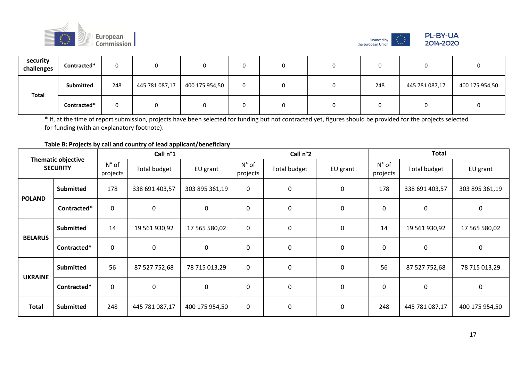





| security<br>challenges | Contracted* | n   |                |                | ν |  |     |                |                |
|------------------------|-------------|-----|----------------|----------------|---|--|-----|----------------|----------------|
|                        | Submitted   | 248 | 445 781 087,17 | 400 175 954,50 | 0 |  | 248 | 445 781 087,17 | 400 175 954,50 |
| <b>Total</b>           | Contracted* |     |                |                | υ |  |     |                |                |

## **Table B: Projects by call and country of lead applicant/beneficiary**

|                |                                              |                            | Call n°1       |                |                   | Call n°2            |             | <b>Total</b>               |                |                |
|----------------|----------------------------------------------|----------------------------|----------------|----------------|-------------------|---------------------|-------------|----------------------------|----------------|----------------|
|                | <b>Thematic objective</b><br><b>SECURITY</b> | $N^{\circ}$ of<br>projects | Total budget   | EU grant       | N° of<br>projects | <b>Total budget</b> | EU grant    | $N^{\circ}$ of<br>projects | Total budget   | EU grant       |
| <b>POLAND</b>  | <b>Submitted</b>                             | 178                        | 338 691 403,57 | 303 895 361,19 | $\mathbf 0$       | 0                   | $\pmb{0}$   | 178                        | 338 691 403,57 | 303 895 361,19 |
|                | Contracted*                                  | $\mathbf 0$                | 0              | 0              | $\mathbf 0$       | 0                   | 0           | 0                          | $\mathbf 0$    | 0              |
| <b>BELARUS</b> | <b>Submitted</b>                             | 14                         | 19 561 930,92  | 17 565 580,02  | $\pmb{0}$         | 0                   | $\pmb{0}$   | 14                         | 19 561 930,92  | 17 565 580,02  |
|                | Contracted*                                  | $\mathbf 0$                | $\mathbf 0$    | $\mathbf 0$    | $\mathbf 0$       | 0                   | $\mathbf 0$ | $\mathbf 0$                | $\mathbf 0$    | 0              |
| <b>UKRAINE</b> | <b>Submitted</b>                             | 56                         | 87 527 752,68  | 78 715 013,29  | $\mathbf 0$       | 0                   | 0           | 56                         | 87 527 752,68  | 78 715 013,29  |
|                | Contracted*                                  | $\boldsymbol{0}$           | $\mathbf 0$    | $\mathbf 0$    | $\pmb{0}$         | 0                   | $\pmb{0}$   | $\mathbf 0$                | $\mathbf 0$    | $\pmb{0}$      |
| <b>Total</b>   | <b>Submitted</b>                             | 248                        | 445 781 087,17 | 400 175 954,50 | $\pmb{0}$         | 0                   | $\pmb{0}$   | 248                        | 445 781 087,17 | 400 175 954,50 |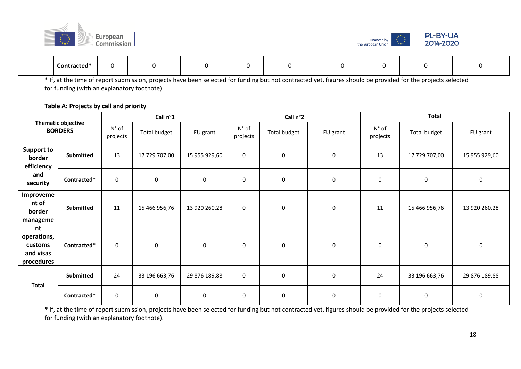| Ē, | $\star^{\star\star_\star}$ | European<br>Commission |   |   |   |        | Financed by<br>the European Union | <b>PL-BY-UA</b><br>2014-2020<br>$\mathbf{x}^{\star\star\star}$<br>$\mathbf{r}_{\star\star\star}$ |  |
|----|----------------------------|------------------------|---|---|---|--------|-----------------------------------|--------------------------------------------------------------------------------------------------|--|
|    | Contracted*                | ັ                      | 0 | 0 | 0 | ∩<br>υ | υ                                 | ∩<br>U                                                                                           |  |

## **Table A: Projects by call and priority**

|                                                         |                                             |                            | Call n°1      |               |                            | Call n°2            |           |                            | <b>Total</b>        |               |
|---------------------------------------------------------|---------------------------------------------|----------------------------|---------------|---------------|----------------------------|---------------------|-----------|----------------------------|---------------------|---------------|
|                                                         | <b>Thematic objective</b><br><b>BORDERS</b> | $N^{\circ}$ of<br>projects | Total budget  | EU grant      | $N^{\circ}$ of<br>projects | <b>Total budget</b> | EU grant  | $N^{\circ}$ of<br>projects | <b>Total budget</b> | EU grant      |
| <b>Support to</b><br>border<br>efficiency               | <b>Submitted</b>                            | 13                         | 17 729 707,00 | 15 955 929,60 | $\mathbf 0$                | $\mathbf 0$         | 0         | 13                         | 17 729 707,00       | 15 955 929,60 |
| and<br>security                                         | Contracted*                                 | 0                          | 0             | $\pmb{0}$     | 0                          | $\pmb{0}$           | $\pmb{0}$ | 0                          | $\pmb{0}$           | $\mathbf 0$   |
| Improveme<br>nt of<br>border<br>manageme                | Submitted                                   | 11                         | 15 466 956,76 | 13 920 260,28 | $\mathbf 0$                | $\mathbf 0$         | 0         | 11                         | 15 466 956,76       | 13 920 260,28 |
| nt<br>operations,<br>customs<br>and visas<br>procedures | Contracted*                                 | 0                          | 0             | $\mathbf 0$   | 0                          | 0                   | 0         | 0                          | 0                   | 0             |
|                                                         | Submitted                                   | 24                         | 33 196 663,76 | 29 876 189,88 | $\mathbf 0$                | $\pmb{0}$           | 0         | 24                         | 33 196 663,76       | 29 876 189,88 |
| <b>Total</b>                                            | Contracted*                                 | 0                          | 0             | 0             | 0                          | 0                   | 0         | 0                          | 0                   | $\mathbf 0$   |

**\*** If, at the time of report submission, projects have been selected for funding but not contracted yet, figures should be provided for the projects selected for funding (with an explanatory footnote).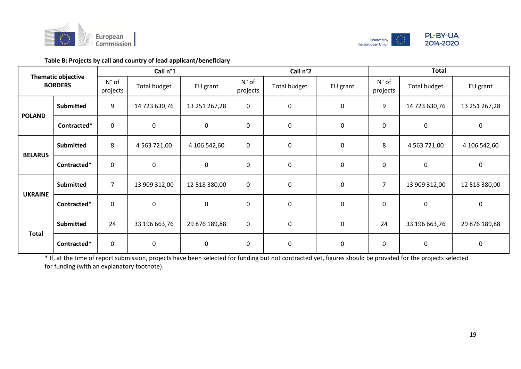



# **Table B: Projects by call and country of lead applicant/beneficiary**

|                |                                             |                            | Call n°1         |               |                            | Call n°2            |             |                            | <b>Total</b>     |               |
|----------------|---------------------------------------------|----------------------------|------------------|---------------|----------------------------|---------------------|-------------|----------------------------|------------------|---------------|
|                | <b>Thematic objective</b><br><b>BORDERS</b> | $N^{\circ}$ of<br>projects | Total budget     | EU grant      | $N^{\circ}$ of<br>projects | <b>Total budget</b> | EU grant    | $N^{\circ}$ of<br>projects | Total budget     | EU grant      |
| <b>POLAND</b>  | <b>Submitted</b>                            | 9                          | 14 723 630,76    | 13 251 267,28 | $\mathbf 0$                | $\pmb{0}$           | 0           | 9                          | 14 723 630,76    | 13 251 267,28 |
|                | Contracted*                                 | $\boldsymbol{0}$           | $\mathsf 0$      | $\mathbf 0$   | $\pmb{0}$                  | $\pmb{0}$           | 0           | 0                          | $\mathbf 0$      | 0             |
| <b>BELARUS</b> | <b>Submitted</b>                            | 8                          | 4 5 63 7 2 1 ,00 | 4 106 542,60  | $\pmb{0}$                  | $\pmb{0}$           | 0           | 8                          | 4 5 63 7 2 1 ,00 | 4 106 542,60  |
|                | Contracted*                                 | $\mathbf 0$                | $\mathbf 0$      | $\mathbf 0$   | $\pmb{0}$                  | $\pmb{0}$           | 0           | $\mathbf 0$                | $\mathbf 0$      | $\pmb{0}$     |
| <b>UKRAINE</b> | <b>Submitted</b>                            | $\overline{7}$             | 13 909 312,00    | 12 518 380,00 | $\mathbf 0$                | $\mathbf 0$         | 0           | $\overline{7}$             | 13 909 312,00    | 12 518 380,00 |
|                | Contracted*                                 | $\mathbf 0$                | $\mathbf 0$      | $\mathbf 0$   | $\mathbf 0$                | $\pmb{0}$           | 0           | $\mathbf 0$                | $\mathbf 0$      | 0             |
| <b>Total</b>   | <b>Submitted</b>                            | 24                         | 33 196 663,76    | 29 876 189,88 | $\mathbf 0$                | $\pmb{0}$           | 0           | 24                         | 33 196 663,76    | 29 876 189,88 |
|                | Contracted*                                 | $\pmb{0}$                  | $\mathbf 0$      | $\mathbf 0$   | $\mathbf 0$                | $\mathbf 0$         | $\mathbf 0$ | 0                          | $\mathbf 0$      | $\mathbf 0$   |

\* If, at the time of report submission, projects have been selected for funding but not contracted yet, figures should be provided for the projects selected for funding (with an explanatory footnote).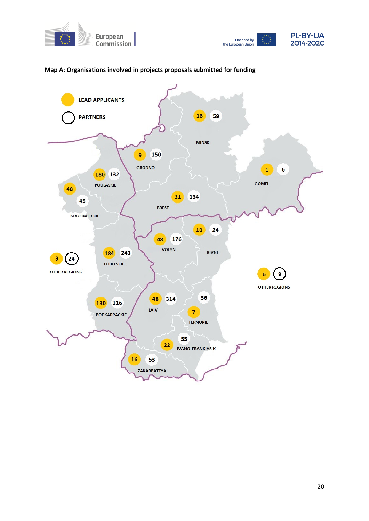



## **Map A: Organisations involved in projects proposals submitted for funding**

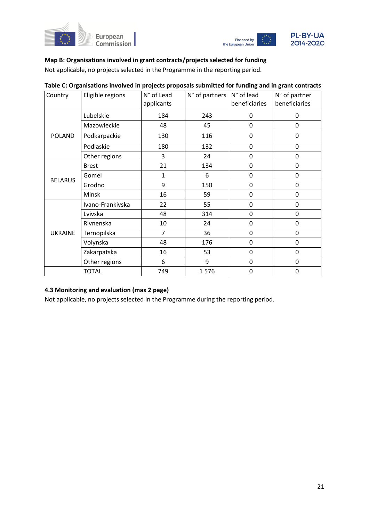



# **Map B: Organisations involved in grant contracts/projects selected for funding**

Not applicable, no projects selected in the Programme in the reporting period.

| Country        | Eligible regions | N° of Lead<br>applicants | $N^{\circ}$ of partners | N° of lead<br>beneficiaries | N° of partner<br>beneficiaries |
|----------------|------------------|--------------------------|-------------------------|-----------------------------|--------------------------------|
|                | Lubelskie        | 184                      | 243                     | 0                           | 0                              |
|                | Mazowieckie      | 48                       | 45                      | 0                           | 0                              |
| <b>POLAND</b>  | Podkarpackie     | 130                      | 116                     | 0                           | 0                              |
|                | Podlaskie        | 180                      | 132                     | $\mathbf 0$                 | 0                              |
|                | Other regions    | 3                        | 24                      | 0                           | 0                              |
|                | <b>Brest</b>     | 21                       | 134                     | 0                           | 0                              |
| <b>BELARUS</b> | Gomel            | 1                        | 6                       | $\mathbf 0$                 | 0                              |
|                | Grodno           | 9                        | 150                     | 0                           | 0                              |
|                | Minsk            | 16                       | 59                      | 0                           | 0                              |
|                | Ivano-Frankivska | 22                       | 55                      | 0                           | 0                              |
|                | Lvivska          | 48                       | 314                     | 0                           | 0                              |
|                | Rivnenska        | 10                       | 24                      | 0                           | 0                              |
| <b>UKRAINE</b> | Ternopilska      | 7                        | 36                      | 0                           | 0                              |
|                | Volynska         | 48                       | 176                     | 0                           | 0                              |
|                | Zakarpatska      | 16                       | 53                      | 0                           | 0                              |
|                | Other regions    | 6                        | 9                       | 0                           | 0                              |
|                | <b>TOTAL</b>     | 749                      | 1576                    | 0                           | 0                              |

#### **Table C: Organisations involved in projects proposals submitted for funding and in grant contracts**

## **4.3 Monitoring and evaluation (max 2 page)**

Not applicable, no projects selected in the Programme during the reporting period.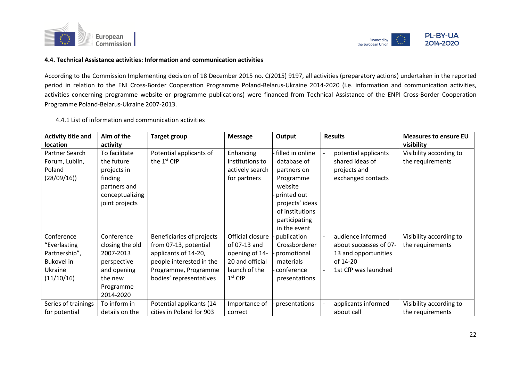



#### **4.4. Technical Assistance activities: Information and communication activities**

According to the Commission Implementing decision of 18 December 2015 no. C(2015) 9197, all activities (preparatory actions) undertaken in the reported period in relation to the ENI Cross-Border Cooperation Programme Poland-Belarus-Ukraine 2014-2020 (i.e. information and communication activities, activities concerning programme website or programme publications) were financed from Technical Assistance of the ENPI Cross-Border Cooperation Programme Poland-Belarus-Ukraine 2007-2013.

4.4.1 List of information and communication activities

| <b>Activity title and</b> | Aim of the      | <b>Target group</b>       | <b>Message</b>   | Output           | <b>Results</b>         | <b>Measures to ensure EU</b> |
|---------------------------|-----------------|---------------------------|------------------|------------------|------------------------|------------------------------|
| <b>location</b>           | activity        |                           |                  |                  |                        | visibility                   |
| Partner Search            | To facilitate   | Potential applicants of   | Enhancing        | filled in online | potential applicants   | Visibility according to      |
| Forum, Lublin,            | the future      | the 1 <sup>st</sup> CfP   | institutions to  | database of      | shared ideas of        | the requirements             |
| Poland                    | projects in     |                           | actively search  | partners on      | projects and           |                              |
| (28/09/16))               | finding         |                           | for partners     | Programme        | exchanged contacts     |                              |
|                           | partners and    |                           |                  | website          |                        |                              |
|                           | conceptualizing |                           |                  | printed out      |                        |                              |
|                           | joint projects  |                           |                  | projects' ideas  |                        |                              |
|                           |                 |                           |                  | of institutions  |                        |                              |
|                           |                 |                           |                  | participating    |                        |                              |
|                           |                 |                           |                  | in the event     |                        |                              |
| Conference                | Conference      | Beneficiaries of projects | Official closure | publication      | audience informed      | Visibility according to      |
| "Everlasting              | closing the old | from 07-13, potential     | of 07-13 and     | Crossborderer    | about successes of 07- | the requirements             |
| Partnership",             | 2007-2013       | applicants of 14-20,      | opening of 14-   | promotional      | 13 and opportunities   |                              |
| <b>Bukovel</b> in         | perspective     | people interested in the  | 20 and official  | materials        | of 14-20               |                              |
| Ukraine                   | and opening     | Programme, Programme      | launch of the    | conference       | 1st CfP was launched   |                              |
| (11/10/16)                | the new         | bodies' representatives   | $1st$ CfP        | presentations    |                        |                              |
|                           | Programme       |                           |                  |                  |                        |                              |
|                           | 2014-2020       |                           |                  |                  |                        |                              |
| Series of trainings       | To inform in    | Potential applicants (14  | Importance of    | presentations    | applicants informed    | Visibility according to      |
| for potential             | details on the  | cities in Poland for 903  | correct          |                  | about call             | the requirements             |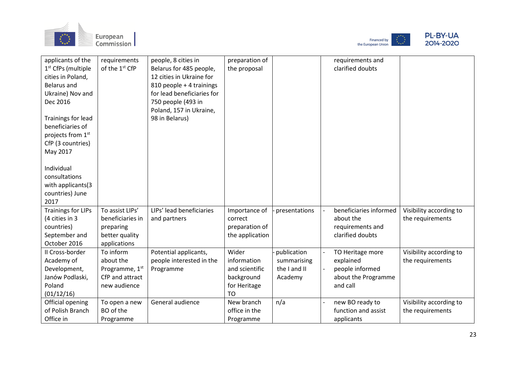





| applicants of the<br>1 <sup>st</sup> CfPs (multiple<br>cities in Poland,<br><b>Belarus and</b><br>Ukraine) Nov and<br>Dec 2016<br>Trainings for lead<br>beneficiaries of<br>projects from 1st<br>CfP (3 countries)<br>May 2017<br>Individual<br>consultations<br>with applicants(3 | requirements<br>of the 1st CfP                                              | people, 8 cities in<br>Belarus for 485 people,<br>12 cities in Ukraine for<br>810 people + 4 trainings<br>for lead beneficiaries for<br>750 people (493 in<br>Poland, 157 in Ukraine,<br>98 in Belarus) | preparation of<br>the proposal                                                    |                                                       | requirements and<br>clarified doubts                                                |                                             |
|------------------------------------------------------------------------------------------------------------------------------------------------------------------------------------------------------------------------------------------------------------------------------------|-----------------------------------------------------------------------------|---------------------------------------------------------------------------------------------------------------------------------------------------------------------------------------------------------|-----------------------------------------------------------------------------------|-------------------------------------------------------|-------------------------------------------------------------------------------------|---------------------------------------------|
| countries) June<br>2017<br><b>Trainings for LIPs</b>                                                                                                                                                                                                                               | To assist LIPs'                                                             | LIPs' lead beneficiaries                                                                                                                                                                                | Importance of                                                                     | presentations                                         | beneficiaries informed                                                              | Visibility according to                     |
| (4 cities in 3<br>countries)<br>September and<br>October 2016                                                                                                                                                                                                                      | beneficiaries in<br>preparing<br>better quality<br>applications             | and partners                                                                                                                                                                                            | correct<br>preparation of<br>the application                                      |                                                       | about the<br>requirements and<br>clarified doubts                                   | the requirements                            |
| II Cross-border<br>Academy of<br>Development,<br>Janów Podlaski,<br>Poland<br>(01/12/16)                                                                                                                                                                                           | To inform<br>about the<br>Programme, 1st<br>CfP and attract<br>new audience | Potential applicants,<br>people interested in the<br>Programme                                                                                                                                          | Wider<br>information<br>and scientific<br>background<br>for Heritage<br><b>TO</b> | publication<br>summarising<br>the I and II<br>Academy | TO Heritage more<br>explained<br>people informed<br>about the Programme<br>and call | Visibility according to<br>the requirements |
| Official opening<br>of Polish Branch<br>Office in                                                                                                                                                                                                                                  | To open a new<br>BO of the<br>Programme                                     | General audience                                                                                                                                                                                        | New branch<br>office in the<br>Programme                                          | n/a                                                   | new BO ready to<br>function and assist<br>applicants                                | Visibility according to<br>the requirements |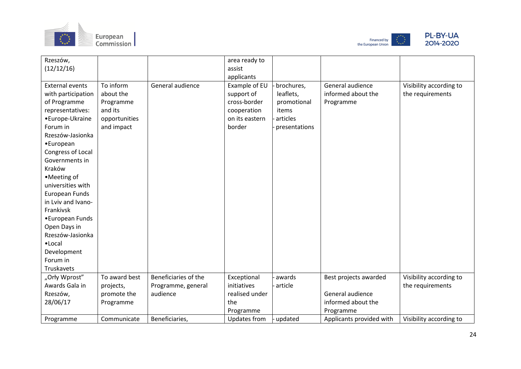





| Rzeszów,<br>(12/12/16)                                                                                                                                                                                                                                                                     |                                                                               |                                | area ready to<br>assist                                                                              |                                                                              |                                                     |                                             |
|--------------------------------------------------------------------------------------------------------------------------------------------------------------------------------------------------------------------------------------------------------------------------------------------|-------------------------------------------------------------------------------|--------------------------------|------------------------------------------------------------------------------------------------------|------------------------------------------------------------------------------|-----------------------------------------------------|---------------------------------------------|
| <b>External events</b><br>with participation<br>of Programme<br>representatives:<br>•Europe-Ukraine<br>Forum in<br>Rzeszów-Jasionka<br>•European<br>Congress of Local<br>Governments in<br>Kraków<br>•Meeting of<br>universities with<br>European Funds<br>in Lviv and Ivano-<br>Frankivsk | To inform<br>about the<br>Programme<br>and its<br>opportunities<br>and impact | General audience               | applicants<br>Example of EU<br>support of<br>cross-border<br>cooperation<br>on its eastern<br>border | brochures,<br>leaflets,<br>promotional<br>items<br>articles<br>presentations | General audience<br>informed about the<br>Programme | Visibility according to<br>the requirements |
| •European Funds<br>Open Days in<br>Rzeszów-Jasionka<br>$\bullet$ Local<br>Development<br>Forum in<br>Truskavets                                                                                                                                                                            |                                                                               |                                |                                                                                                      |                                                                              |                                                     |                                             |
| "Orły Wprost"                                                                                                                                                                                                                                                                              | To award best                                                                 | Beneficiaries of the           | Exceptional                                                                                          | awards                                                                       | Best projects awarded                               | Visibility according to                     |
| Awards Gala in<br>Rzeszów,                                                                                                                                                                                                                                                                 | projects,<br>promote the                                                      | Programme, general<br>audience | initiatives<br>realised under                                                                        | article                                                                      | General audience                                    | the requirements                            |
| 28/06/17                                                                                                                                                                                                                                                                                   | Programme                                                                     |                                | the                                                                                                  |                                                                              | informed about the                                  |                                             |
|                                                                                                                                                                                                                                                                                            |                                                                               |                                | Programme                                                                                            |                                                                              | Programme                                           |                                             |
| Programme                                                                                                                                                                                                                                                                                  | Communicate                                                                   | Beneficiaries,                 | Updates from                                                                                         | updated                                                                      | Applicants provided with                            | Visibility according to                     |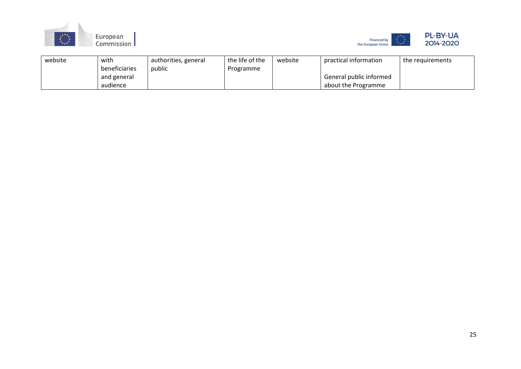



| website | with          | authorities, general | the life of the | website | practical information   | the requirements |
|---------|---------------|----------------------|-----------------|---------|-------------------------|------------------|
|         | beneficiaries | public               | Programme       |         |                         |                  |
|         | and general   |                      |                 |         | General public informed |                  |
|         | audience      |                      |                 |         | about the Programme     |                  |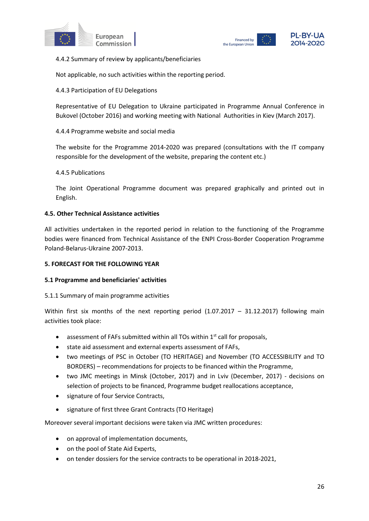



4.4.2 Summary of review by applicants/beneficiaries

Not applicable, no such activities within the reporting period.

4.4.3 Participation of EU Delegations

Representative of EU Delegation to Ukraine participated in Programme Annual Conference in Bukovel (October 2016) and working meeting with National Authorities in Kiev (March 2017).

4.4.4 Programme website and social media

The website for the Programme 2014-2020 was prepared (consultations with the IT company responsible for the development of the website, preparing the content etc.)

4.4.5 Publications

The Joint Operational Programme document was prepared graphically and printed out in English.

#### **4.5. Other Technical Assistance activities**

All activities undertaken in the reported period in relation to the functioning of the Programme bodies were financed from Technical Assistance of the ENPI Cross-Border Cooperation Programme Poland-Belarus-Ukraine 2007-2013.

#### **5. FORECAST FOR THE FOLLOWING YEAR**

#### **5.1 Programme and beneficiaries' activities**

#### 5.1.1 Summary of main programme activities

Within first six months of the next reporting period  $(1.07.2017 - 31.12.2017)$  following main activities took place:

- assessment of FAFs submitted within all TOs within  $1<sup>st</sup>$  call for proposals,
- state aid assessment and external experts assessment of FAFs,
- two meetings of PSC in October (TO HERITAGE) and November (TO ACCESSIBILITY and TO BORDERS) – recommendations for projects to be financed within the Programme,
- two JMC meetings in Minsk (October, 2017) and in Lviv (December, 2017) decisions on selection of projects to be financed, Programme budget reallocations acceptance,
- signature of four Service Contracts,
- signature of first three Grant Contracts (TO Heritage)

Moreover several important decisions were taken via JMC written procedures:

- on approval of implementation documents,
- on the pool of State Aid Experts,
- on tender dossiers for the service contracts to be operational in 2018-2021,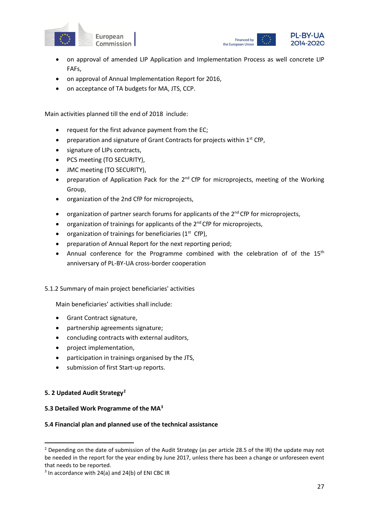



- on approval of amended LIP Application and Implementation Process as well concrete LIP FAFs,
- on approval of Annual Implementation Report for 2016,
- on acceptance of TA budgets for MA, JTS, CCP.

Main activities planned till the end of 2018 include:

- request for the first advance payment from the EC;
- preparation and signature of Grant Contracts for projects within  $1<sup>st</sup>$  CfP,
- signature of LIPs contracts,
- PCS meeting (TO SECURITY),
- JMC meeting (TO SECURITY),
- preparation of Application Pack for the 2<sup>nd</sup> CfP for microprojects, meeting of the Working Group,
- organization of the 2nd CfP for microprojects,
- organization of partner search forums for applicants of the  $2^{nd}$  CfP for microprojects,
- organization of trainings for applicants of the 2<sup>nd</sup> CfP for microprojects,
- organization of trainings for beneficiaries  $(1<sup>st</sup> CfP)$ ,
- preparation of Annual Report for the next reporting period;
- Annual conference for the Programme combined with the celebration of of the 15<sup>th</sup> anniversary of PL-BY-UA cross-border cooperation

#### 5.1.2 Summary of main project beneficiaries' activities

Main beneficiaries' activities shall include:

- Grant Contract signature,
- partnership agreements signature;
- concluding contracts with external auditors,
- project implementation,
- participation in trainings organised by the JTS,
- submission of first Start-up reports.

#### **5. 2 Updated Audit Strategy[2](#page-26-0)**

#### **5.3 Detailed Work Programme of the MA[3](#page-26-1)**

#### **5.4 Financial plan and planned use of the technical assistance**

<span id="page-26-0"></span><sup>&</sup>lt;sup>2</sup> Depending on the date of submission of the Audit Strategy (as per article 28.5 of the IR) the update may not be needed in the report for the year ending by June 2017, unless there has been a change or unforeseen event that needs to be reported.<br> $3 \text{ In accordance with } 24(\text{a})$  and  $24(\text{b})$  of ENI CBC IR

<span id="page-26-1"></span>